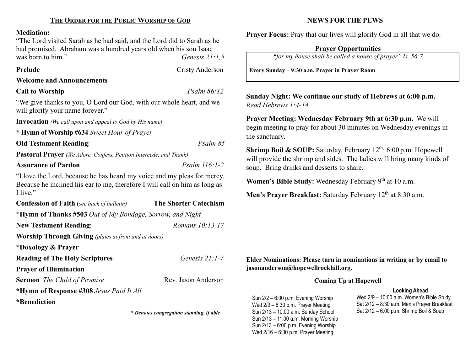#### Mediation:

"The Lord visited Sarah as he had said, and the Lord did to Sarah as he had promised. Abraham was a hundred years old when his son Isaac was born to him." Genesis 21:1,5

Prelude Cristy Anderson

#### Welcome and Announcements

## Call to Worship Psalm 86:12

"We give thanks to you, O Lord our God, with our whole heart, and we will glorify your name forever."

Invocation (We call upon and appeal to God by His name)

\* Hymn of Worship #634 Sweet Hour of Prayer

Old Testament Reading: Psalm 85

Pastoral Prayer (We Adore, Confess, Petition Intercede, and Thank)

#### Assurance of Pardon **Particle 116:1-2** *Psalm 116:1-2*

"I love the Lord, because he has heard my voice and my pleas for mercy. Because he inclined his ear to me, therefore I will call on him as long as I live."

| <b>Confession of Faith</b> (see back of bulletin)            | <b>The Shorter Catechism</b> |  |  |  |  |
|--------------------------------------------------------------|------------------------------|--|--|--|--|
| *Hymn of Thanks #503 Out of My Bondage, Sorrow, and Night    |                              |  |  |  |  |
| <b>New Testament Reading:</b>                                | Romans 10:13-17              |  |  |  |  |
| <b>Worship Through Giving</b> (plates at front and at doors) |                              |  |  |  |  |
| *Doxology & Prayer                                           |                              |  |  |  |  |
| <b>Reading of The Holy Scriptures</b>                        | Genesis $21:1-7$             |  |  |  |  |
| <b>Prayer of Illumination</b>                                |                              |  |  |  |  |
| <b>Sermon</b> The Child of Promise                           | Rev. Jason Anderson          |  |  |  |  |
| *Hymn of Response #308 Jesus Paid It All                     |                              |  |  |  |  |
| <i>*</i> Benediction                                         |                              |  |  |  |  |

\* Denotes congregation standing, if able

### NEWS FOR THE PEWS

Prayer Focus: Pray that our lives will glorify God in all that we do.

#### Prayer Opportunities

"for my house shall be called a house of prayer" Is. 56:7

Every Sunday – 9:30 a.m. Prayer in Prayer Room

Sunday Night: We continue our study of Hebrews at 6:00 p.m. Read Hebrews 1:4-14.

Prayer Meeting: Wednesday February 9th at 6:30 p.m. We will begin meeting to pray for about 30 minutes on Wednesday evenings in the sanctuary.

**Shrimp Boil & SOUP:** Saturday, February  $12^{th}$ , 6:00 p.m. Hopewell will provide the shrimp and sides. The ladies will bring many kinds of soup. Bring drinks and desserts to share.

Women's Bible Study: Wednesday February 9th at 10 a.m.

Men's Prayer Breakfast: Saturday February 12<sup>th</sup> at 8:30 a.m.

Elder Nominations: Please turn in nominations in writing or by email to jasonanderson@hopewellrockhill.org.

#### Coming Up at Hopewell

#### Looking Ahead

Sun 2/2 – 6:00 p.m. Evening Worship Wed 2/9 – 6:30 p.m. Prayer Meeting Sun 2/13 – 10:00 a.m. Sunday School Sun 2/13 – 11:00 a.m. Morning Worship Sun 2/13 – 6:00 p.m. Evening Worship Wed 2/16 – 6:30 p.m. Prayer Meeting

Wed 2/9 – 10:00 a.m. Women's Bible Study Sat 2/12 – 8:30 a.m. Men's Prayer Breakfast Sat 2/12 – 6:00 p.m. Shrimp Boil & Soup